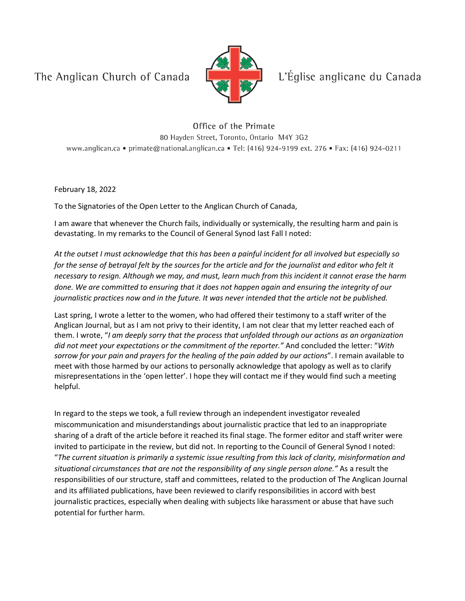The Anglican Church of Canada



L'Église anglicane du Canada

Office of the Primate 80 Hayden Street, Toronto, Ontario M4Y 3G2 www.anglican.ca • primate@national.anglican.ca • Tel: (416) 924-9199 ext. 276 • Fax: (416) 924-0211

February 18, 2022

To the Signatories of the Open Letter to the Anglican Church of Canada,

I am aware that whenever the Church fails, individually or systemically, the resulting harm and pain is devastating. In my remarks to the Council of General Synod last Fall I noted:

*At the outset I must acknowledge that this has been a painful incident for all involved but especially so for the sense of betrayal felt by the sources for the article and for the journalist and editor who felt it necessary to resign. Although we may, and must, learn much from this incident it cannot erase the harm done. We are committed to ensuring that it does not happen again and ensuring the integrity of our journalistic practices now and in the future. It was never intended that the article not be published.*

Last spring, I wrote a letter to the women, who had offered their testimony to a staff writer of the Anglican Journal, but as I am not privy to their identity, I am not clear that my letter reached each of them. I wrote, "*I am deeply sorry that the process that unfolded through our actions as an organization did not meet your expectations or the commitment of the reporter."* And concluded the letter: "*With sorrow for your pain and prayers for the healing of the pain added by our actions*". I remain available to meet with those harmed by our actions to personally acknowledge that apology as well as to clarify misrepresentations in the 'open letter'. I hope they will contact me if they would find such a meeting helpful.

In regard to the steps we took, a full review through an independent investigator revealed miscommunication and misunderstandings about journalistic practice that led to an inappropriate sharing of a draft of the article before it reached its final stage. The former editor and staff writer were invited to participate in the review, but did not. In reporting to the Council of General Synod I noted: "*The current situation is primarily a systemic issue resulting from this lack of clarity, misinformation and situational circumstances that are not the responsibility of any single person alone."* As a result the responsibilities of our structure, staff and committees, related to the production of The Anglican Journal and its affiliated publications, have been reviewed to clarify responsibilities in accord with best journalistic practices, especially when dealing with subjects like harassment or abuse that have such potential for further harm.